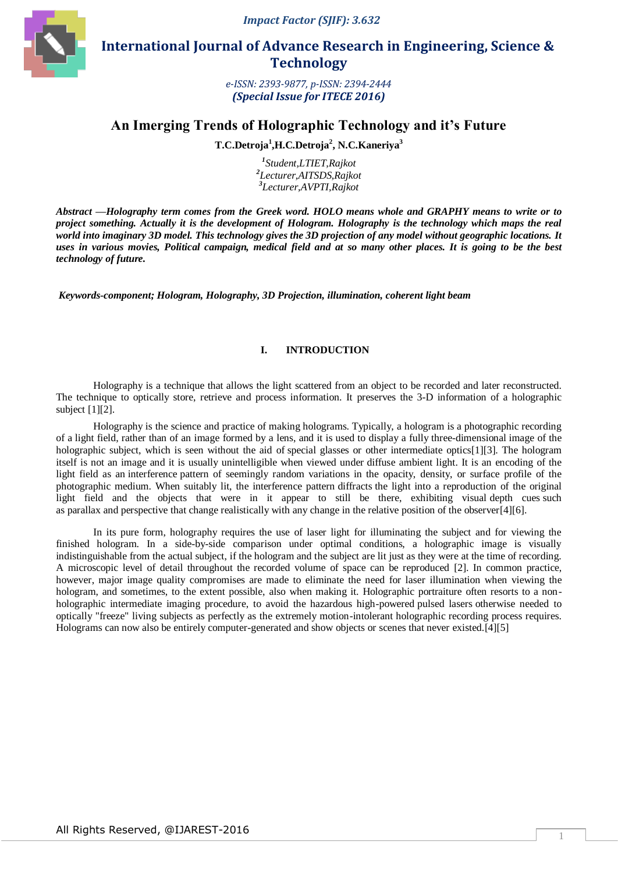*Impact Factor (SJIF): 3.632*



 **International Journal of Advance Research in Engineering, Science & Technology** 

> *e-ISSN: 2393-9877, p-ISSN: 2394-2444 (Special Issue for ITECE 2016)*

# **An Imerging Trends of Holographic Technology and it's Future**

**T.C.Detroja<sup>1</sup> ,H.C.Detroja<sup>2</sup> , N.C.Kaneriya<sup>3</sup>**

*1 Student,LTIET,Rajkot 2 Lecturer,AITSDS,Rajkot 3 Lecturer,AVPTI,Rajkot*

*Abstract* **—***Holography term comes from the Greek word. HOLO means whole and GRAPHY means to write or to project something. Actually it is the development of Hologram. Holography is the technology which maps the real world into imaginary 3D model. This technology gives the 3D projection of any model without geographic locations. It uses in various movies, Political campaign, medical field and at so many other places. It is going to be the best technology of future.*

*Keywords-component; Hologram, Holography, 3D Projection, illumination, coherent light beam*

### **I. INTRODUCTION**

Holography is a technique that allows the light scattered from an object to be recorded and later reconstructed. The technique to optically store, retrieve and process information. It preserves the 3-D information of a holographic subject [1][2].

Holography is the science and practice of making holograms. Typically, a hologram is a photographic recording of a [light field,](https://en.wikipedia.org/wiki/Light_field) rather than of an image formed by a [lens,](https://en.wikipedia.org/wiki/Lens_(optics)) and it is used to display a fully [three-dimensional](https://en.wikipedia.org/wiki/Three-dimensional_space) image of the holographic subject, which is seen without the aid of [special glasses or other intermediate optics\[](https://en.wikipedia.org/wiki/Stereoscopy)1][3]. The hologram itself is not an image and it is usually unintelligible when viewed under [diffuse ambient light.](https://en.wikipedia.org/wiki/Diffuse_reflection) It is an encoding of the light field as an [interference](https://en.wikipedia.org/wiki/Interference_(wave_propagation)) pattern of seemingly random variations in the opacity, density, or surface profile of the photographic medium. When suitably lit, the interference pattern [diffracts](https://en.wikipedia.org/wiki/Diffraction) the light into a reproduction of the original light field and the objects that were in it appear to still be there, exhibiting visual [depth cues](https://en.wikipedia.org/wiki/Depth_perception) such as [parallax](https://en.wikipedia.org/wiki/Parallax) and [perspective](https://en.wikipedia.org/wiki/Perspective_(visual)) that change realistically with any change in the relative position of the observer[4][6].

In its pure form, holography requires the use of laser light for illuminating the subject and for viewing the finished hologram. In a side-by-side comparison under optimal conditions, a holographic image is visually indistinguishable from the actual subject, if the hologram and the subject are lit just as they were at the time of recording. A microscopic level of detail throughout the recorded volume of space can be reproduced [2]. In common practice, however, major image quality compromises are made to eliminate the need for laser illumination when viewing the hologram, and sometimes, to the extent possible, also when making it. Holographic portraiture often resorts to a nonholographic intermediate imaging procedure, to avoid the hazardous high-powered [pulsed lasers](https://en.wikipedia.org/wiki/Laser#Pulsed_operation) otherwise needed to optically "freeze" living subjects as perfectly as the extremely motion-intolerant holographic recording process requires. Holograms can now also be entirely computer-generated and show objects or scenes that never existed.[4][5]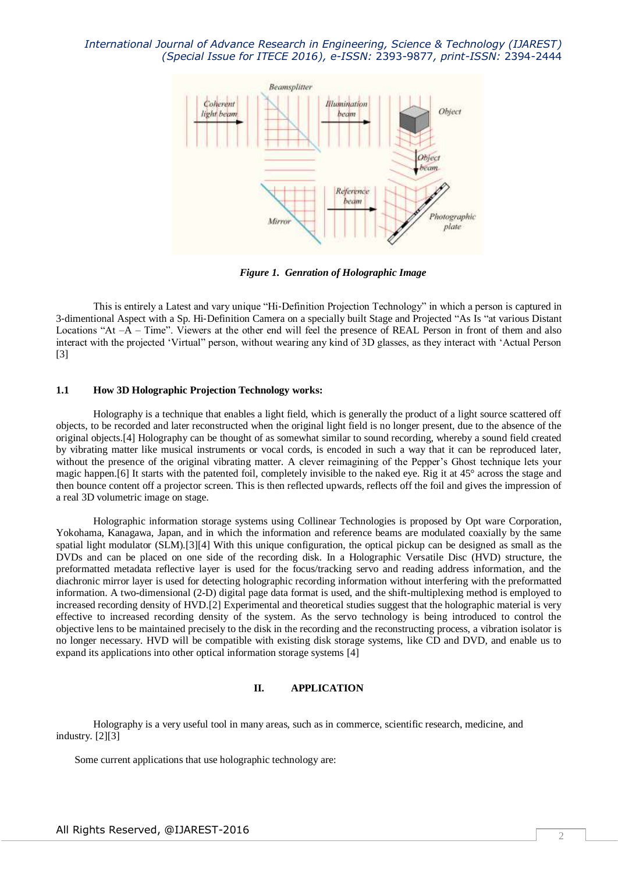*International Journal of Advance Research in Engineering, Science & Technology (IJAREST) (Special Issue for ITECE 2016), e-ISSN:* 2393-9877*, print-ISSN:* 2394-2444



*Figure 1. Genration of Holographic Image*

This is entirely a Latest and vary unique "Hi‐Definition Projection Technology" in which a person is captured in 3‐dimentional Aspect with a Sp. Hi‐Definition Camera on a specially built Stage and Projected "As Is "at various Distant Locations "At  $-A$  – Time". Viewers at the other end will feel the presence of REAL Person in front of them and also interact with the projected "Virtual" person, without wearing any kind of 3D glasses, as they interact with "Actual Person [3]

### **1.1 How 3D Holographic Projection Technology works:**

Holography is a technique that enables a light field, which is generally the product of a light source scattered off objects, to be recorded and later reconstructed when the original light field is no longer present, due to the absence of the original objects.[4] Holography can be thought of as somewhat similar to sound recording, whereby a sound field created by vibrating matter like musical instruments or vocal cords, is encoded in such a way that it can be reproduced later, without the presence of the original vibrating matter. A clever reimagining of the Pepper's Ghost technique lets your magic happen.[6] It starts with the patented foil, completely invisible to the naked eye. Rig it at 45° across the stage and then bounce content off a projector screen. This is then reflected upwards, reflects off the foil and gives the impression of a real 3D volumetric image on stage.

Holographic information storage systems using Collinear Technologies is proposed by Opt ware Corporation, Yokohama, Kanagawa, Japan, and in which the information and reference beams are modulated coaxially by the same spatial light modulator (SLM).[3][4] With this unique configuration, the optical pickup can be designed as small as the DVDs and can be placed on one side of the recording disk. In a Holographic Versatile Disc (HVD) structure, the preformatted metadata reflective layer is used for the focus/tracking servo and reading address information, and the diachronic mirror layer is used for detecting holographic recording information without interfering with the preformatted information. A two-dimensional (2-D) digital page data format is used, and the shift-multiplexing method is employed to increased recording density of HVD.[2] Experimental and theoretical studies suggest that the holographic material is very effective to increased recording density of the system. As the servo technology is being introduced to control the objective lens to be maintained precisely to the disk in the recording and the reconstructing process, a vibration isolator is no longer necessary. HVD will be compatible with existing disk storage systems, like CD and DVD, and enable us to expand its applications into other optical information storage systems [4]

### **II. APPLICATION**

Holography is a very useful tool in many areas, such as in commerce, scientific research, medicine, and industry. [2][3]

Some current applications that use holographic technology are: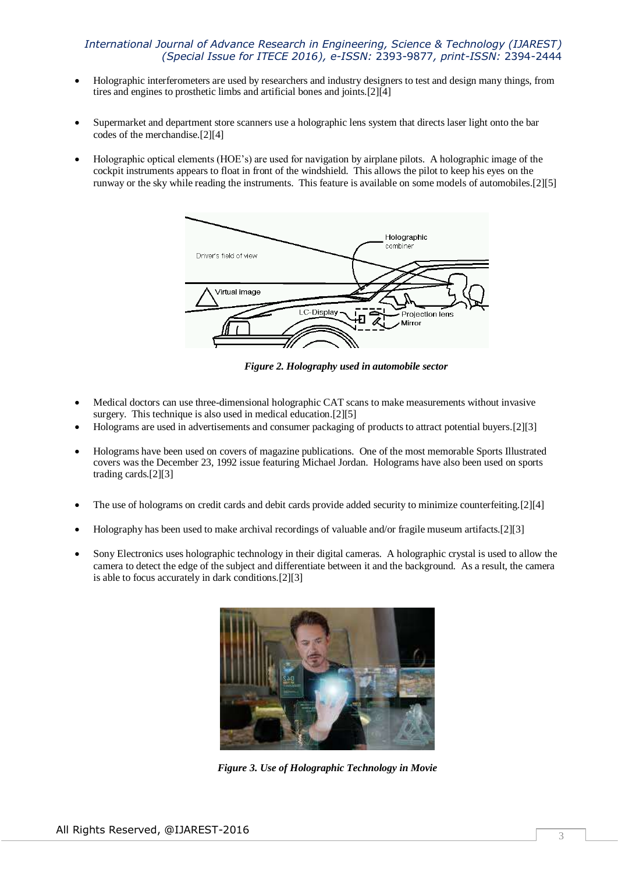## *International Journal of Advance Research in Engineering, Science & Technology (IJAREST) (Special Issue for ITECE 2016), e-ISSN:* 2393-9877*, print-ISSN:* 2394-2444

- Holographic interferometers are used by researchers and industry designers to test and design many things, from tires and engines to prosthetic limbs and artificial bones and joints.[2][4]
- Supermarket and department store scanners use a holographic lens system that directs laser light onto the bar codes of the merchandise.[2][4]
- Holographic optical elements (HOE"s) are used for navigation by airplane pilots. A holographic image of the cockpit instruments appears to float in front of the windshield. This allows the pilot to keep his eyes on the runway or the sky while reading the instruments. This feature is available on some models of automobiles.[2][5]



*Figure 2. Holography used in automobile sector*

- Medical doctors can use three-dimensional holographic CAT scans to make measurements without invasive surgery. This technique is also used in medical education.[2][5]
- Holograms are used in advertisements and consumer packaging of products to attract potential buyers.[2][3]
- Holograms have been used on covers of magazine publications. One of the most memorable Sports Illustrated covers was the December 23, 1992 issue featuring Michael Jordan. Holograms have also been used on sports trading cards.[2][3]
- The use of holograms on credit cards and debit cards provide added security to minimize counterfeiting.[2][4]
- Holography has been used to make archival recordings of valuable and/or fragile museum artifacts.[2][3]
- Sony Electronics uses holographic technology in their digital cameras. A holographic crystal is used to allow the camera to detect the edge of the subject and differentiate between it and the background. As a result, the camera is able to focus accurately in dark conditions.[2][3]



*Figure 3. Use of Holographic Technology in Movie*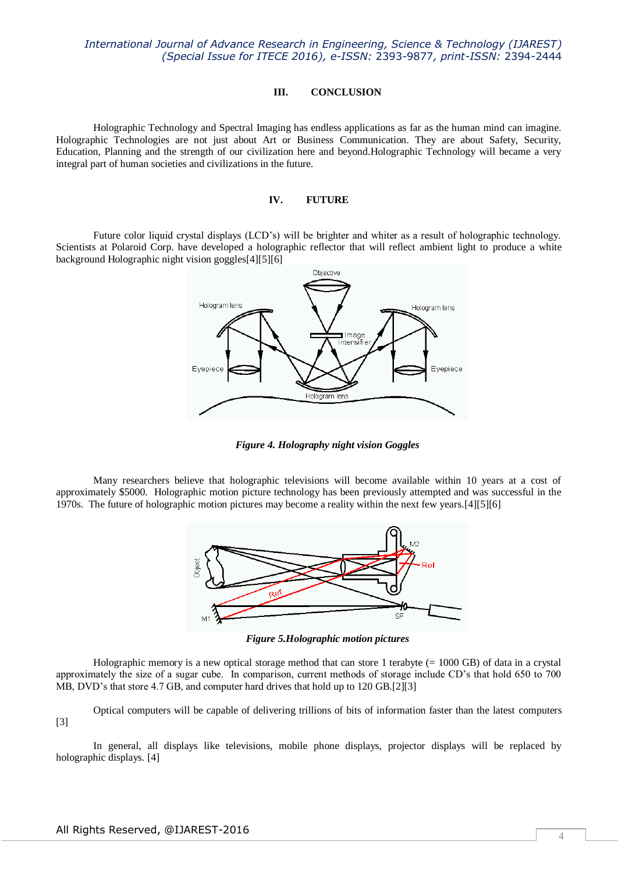### *International Journal of Advance Research in Engineering, Science & Technology (IJAREST) (Special Issue for ITECE 2016), e-ISSN:* 2393-9877*, print-ISSN:* 2394-2444

#### **III. CONCLUSION**

Holographic Technology and Spectral Imaging has endless applications as far as the human mind can imagine. Holographic Technologies are not just about Art or Business Communication. They are about Safety, Security, Education, Planning and the strength of our civilization here and beyond.Holographic Technology will became a very integral part of human societies and civilizations in the future.

### **IV. FUTURE**

Future color liquid crystal displays (LCD"s) will be brighter and whiter as a result of holographic technology. Scientists at Polaroid Corp. have developed a holographic reflector that will reflect ambient light to produce a white background Holographic night vision goggles[4][5][6]



*Figure 4. Holography night vision Goggles*

Many researchers believe that holographic televisions will become available within 10 years at a cost of approximately \$5000. Holographic motion picture technology has been previously attempted and was successful in the 1970s. The future of holographic motion pictures may become a reality within the next few years.[4][5][6]



*Figure 5.Holographic motion pictures*

Holographic memory is a new optical storage method that can store 1 terabyte (= 1000 GB) of data in a crystal approximately the size of a sugar cube. In comparison, current methods of storage include CD"s that hold 650 to 700 MB, DVD's that store 4.7 GB, and computer hard drives that hold up to 120 GB.[2][3]

Optical computers will be capable of delivering trillions of bits of information faster than the latest computers [3]

In general, all displays like televisions, mobile phone displays, projector displays will be replaced by holographic displays. [4]